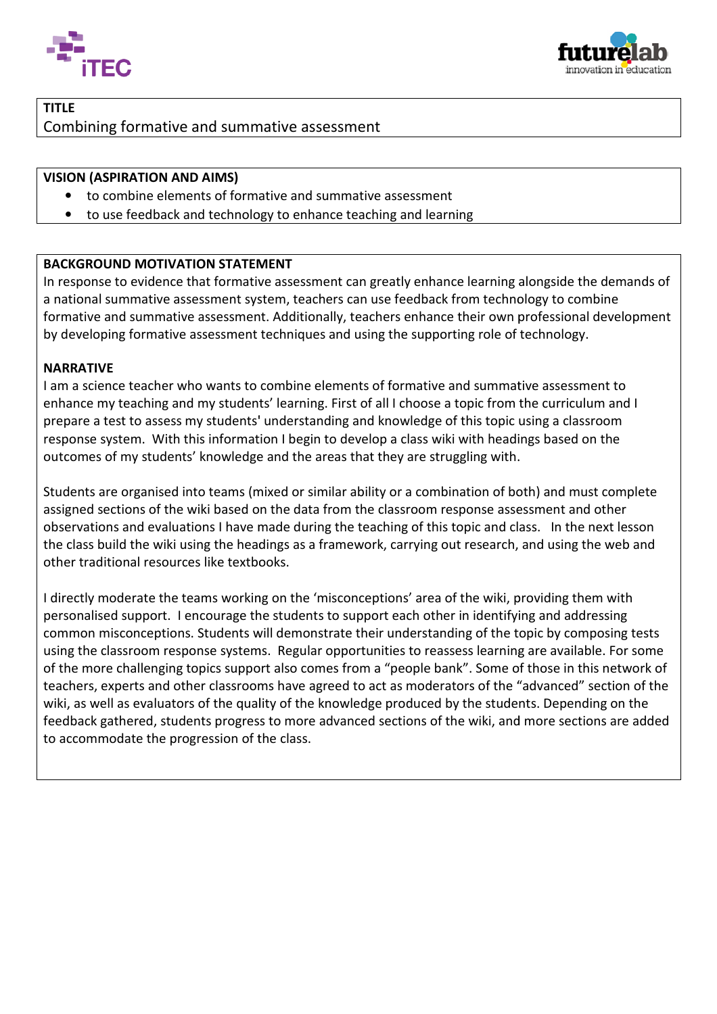



# TITLE Combining formative and summative assessment

#### VISION (ASPIRATION AND AIMS)

- to combine elements of formative and summative assessment
- to use feedback and technology to enhance teaching and learning

#### BACKGROUND MOTIVATION STATEMENT

In response to evidence that formative assessment can greatly enhance learning alongside the demands of a national summative assessment system, teachers can use feedback from technology to combine formative and summative assessment. Additionally, teachers enhance their own professional development formative and summative assessment. Additionally, teachers enhance their own professional<br>by developing formative assessment techniques and using the supporting role of technology.

#### NARRATIVE

Ι

I am a science teacher who wants to combine elements of formative and summative assessment to I am a science teacher who wants to combine elements of formative and summative assessment to<br>enhance my teaching and my students' learning. First of all I choose a topic from the curriculum and I prepare a test to assess my students' understanding and knowledge of this topic using a classroom response system. With this information I begin to develop a class wiki with headings based on the outcomes of my students' knowledge and the areas that they are struggling with.

outcomes of my students' knowledge and the areas that they are struggling with.<br>Students are organised into teams (mixed or similar ability or a combination of both) and must complete assigned sections of the wiki based on the data from the classroom response assessment and other observations and evaluations I have made during the teaching of this topic and class. In the next lesson other traditional resources like textbooks.

the class build the wiki using the headings as a framework, carrying out research, and using the web and<br>other traditional resources like textbooks.<br>I directly moderate the teams working on the 'misconceptions' area of the I directly moderate the teams working on the 'misconceptions' area of the wiki, providing them with personalised support. I encourage the students to support each other in identifying and addressing common misconceptions. Students will demonstrate their understanding of the topic by composing tests using the classroom response systems. Regular opportunities to reassess learning are available. For some of the more challenging topics support also comes from a "people bank". Some of those in this network of teachers, experts and other classrooms have agreed to act as moderators of the "advanced" section of the wiki, as well as evaluators of the quality of the knowledge produced by the students. Depending on the feedback gathered, students progress to more advanced sections of the wiki, and more sections are added to accommodate the progression of the class.